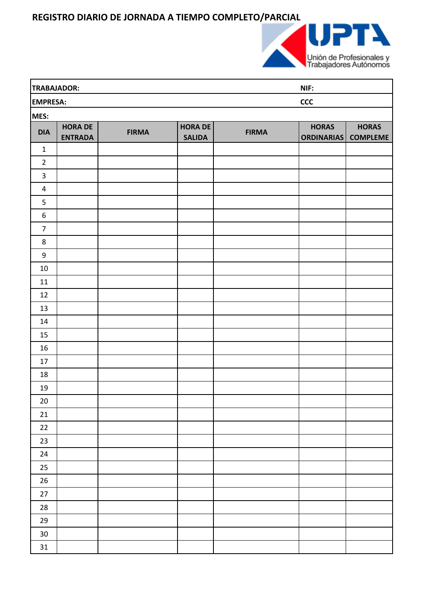**REGISTRO DIARIO DE JORNADA A TIEMPO COMPLETO/PARCIAL**



| TRABAJADOR:            |                                  |              |                                 |              | NIF:                              |                                 |  |
|------------------------|----------------------------------|--------------|---------------------------------|--------------|-----------------------------------|---------------------------------|--|
| ccc<br><b>EMPRESA:</b> |                                  |              |                                 |              |                                   |                                 |  |
| MES:                   |                                  |              |                                 |              |                                   |                                 |  |
| <b>DIA</b>             | <b>HORA DE</b><br><b>ENTRADA</b> | <b>FIRMA</b> | <b>HORA DE</b><br><b>SALIDA</b> | <b>FIRMA</b> | <b>HORAS</b><br><b>ORDINARIAS</b> | <b>HORAS</b><br><b>COMPLEME</b> |  |
| $\mathbf{1}$           |                                  |              |                                 |              |                                   |                                 |  |
| $\overline{2}$         |                                  |              |                                 |              |                                   |                                 |  |
| $\overline{3}$         |                                  |              |                                 |              |                                   |                                 |  |
| $\overline{a}$         |                                  |              |                                 |              |                                   |                                 |  |
| 5                      |                                  |              |                                 |              |                                   |                                 |  |
| $\boldsymbol{6}$       |                                  |              |                                 |              |                                   |                                 |  |
| $\overline{7}$         |                                  |              |                                 |              |                                   |                                 |  |
| 8                      |                                  |              |                                 |              |                                   |                                 |  |
| $\boldsymbol{9}$       |                                  |              |                                 |              |                                   |                                 |  |
| $10\,$                 |                                  |              |                                 |              |                                   |                                 |  |
| 11                     |                                  |              |                                 |              |                                   |                                 |  |
| 12                     |                                  |              |                                 |              |                                   |                                 |  |
| 13                     |                                  |              |                                 |              |                                   |                                 |  |
| 14                     |                                  |              |                                 |              |                                   |                                 |  |
| 15                     |                                  |              |                                 |              |                                   |                                 |  |
| 16                     |                                  |              |                                 |              |                                   |                                 |  |
| 17                     |                                  |              |                                 |              |                                   |                                 |  |
| 18                     |                                  |              |                                 |              |                                   |                                 |  |
| 19                     |                                  |              |                                 |              |                                   |                                 |  |
| $20\,$                 |                                  |              |                                 |              |                                   |                                 |  |
| 21                     |                                  |              |                                 |              |                                   |                                 |  |
| 22                     |                                  |              |                                 |              |                                   |                                 |  |
| 23                     |                                  |              |                                 |              |                                   |                                 |  |
| 24                     |                                  |              |                                 |              |                                   |                                 |  |
| $25\phantom{.0}$       |                                  |              |                                 |              |                                   |                                 |  |
| $26\,$                 |                                  |              |                                 |              |                                   |                                 |  |
| $27\,$                 |                                  |              |                                 |              |                                   |                                 |  |
| ${\bf 28}$             |                                  |              |                                 |              |                                   |                                 |  |
| 29                     |                                  |              |                                 |              |                                   |                                 |  |
| 30 <sub>o</sub>        |                                  |              |                                 |              |                                   |                                 |  |
| 31                     |                                  |              |                                 |              |                                   |                                 |  |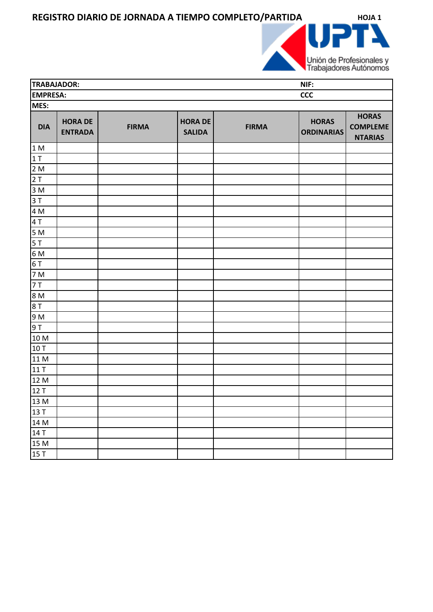REGISTRO DIARIO DE JORNADA A TIEMPO COMPLETO/PARTIDA **HOJA 1** 



| TRABAJADOR:<br>NIF: |                                  |              |                                 |              |                                   |                                                   |
|---------------------|----------------------------------|--------------|---------------------------------|--------------|-----------------------------------|---------------------------------------------------|
| <b>EMPRESA:</b>     |                                  |              |                                 |              | <b>CCC</b>                        |                                                   |
| MES:                |                                  |              |                                 |              |                                   |                                                   |
| <b>DIA</b>          | <b>HORA DE</b><br><b>ENTRADA</b> | <b>FIRMA</b> | <b>HORA DE</b><br><b>SALIDA</b> | <b>FIRMA</b> | <b>HORAS</b><br><b>ORDINARIAS</b> | <b>HORAS</b><br><b>COMPLEME</b><br><b>NTARIAS</b> |
| 1 M                 |                                  |              |                                 |              |                                   |                                                   |
| 1T                  |                                  |              |                                 |              |                                   |                                                   |
| 2M                  |                                  |              |                                 |              |                                   |                                                   |
| 2T                  |                                  |              |                                 |              |                                   |                                                   |
| 3M                  |                                  |              |                                 |              |                                   |                                                   |
| 3T                  |                                  |              |                                 |              |                                   |                                                   |
| 4 M                 |                                  |              |                                 |              |                                   |                                                   |
| 4T                  |                                  |              |                                 |              |                                   |                                                   |
| 5M                  |                                  |              |                                 |              |                                   |                                                   |
| 5T                  |                                  |              |                                 |              |                                   |                                                   |
| 6 M                 |                                  |              |                                 |              |                                   |                                                   |
| 6T                  |                                  |              |                                 |              |                                   |                                                   |
| 7 M                 |                                  |              |                                 |              |                                   |                                                   |
| 7 T                 |                                  |              |                                 |              |                                   |                                                   |
| <b>M</b> 8          |                                  |              |                                 |              |                                   |                                                   |
| 8 T                 |                                  |              |                                 |              |                                   |                                                   |
| 9 M                 |                                  |              |                                 |              |                                   |                                                   |
| 9T                  |                                  |              |                                 |              |                                   |                                                   |
| 10 M                |                                  |              |                                 |              |                                   |                                                   |
| 10T                 |                                  |              |                                 |              |                                   |                                                   |
| 11 M                |                                  |              |                                 |              |                                   |                                                   |
| 11 T                |                                  |              |                                 |              |                                   |                                                   |
| 12 M                |                                  |              |                                 |              |                                   |                                                   |
| 12T                 |                                  |              |                                 |              |                                   |                                                   |
| 13 M                |                                  |              |                                 |              |                                   |                                                   |
| $\sqrt{13}$ T       |                                  |              |                                 |              |                                   |                                                   |
| 14 M                |                                  |              |                                 |              |                                   |                                                   |
| 14 T                |                                  |              |                                 |              |                                   |                                                   |
| 15 M                |                                  |              |                                 |              |                                   |                                                   |
| 15T                 |                                  |              |                                 |              |                                   |                                                   |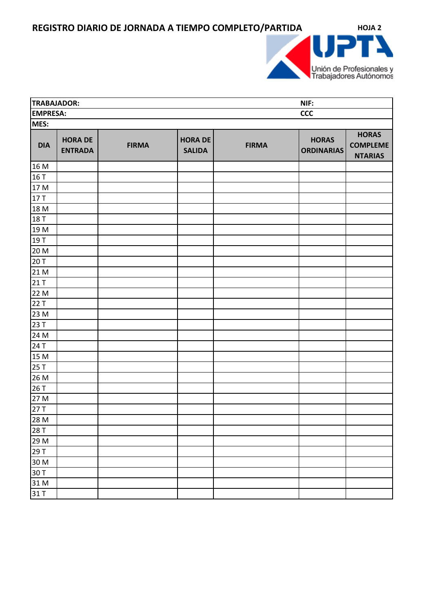

| TRABAJADOR:     |                                  |              |                                 |              | NIF:                              |                                                   |  |
|-----------------|----------------------------------|--------------|---------------------------------|--------------|-----------------------------------|---------------------------------------------------|--|
| <b>EMPRESA:</b> |                                  |              |                                 |              | <b>CCC</b>                        |                                                   |  |
| MES:            |                                  |              |                                 |              |                                   |                                                   |  |
| <b>DIA</b>      | <b>HORA DE</b><br><b>ENTRADA</b> | <b>FIRMA</b> | <b>HORA DE</b><br><b>SALIDA</b> | <b>FIRMA</b> | <b>HORAS</b><br><b>ORDINARIAS</b> | <b>HORAS</b><br><b>COMPLEME</b><br><b>NTARIAS</b> |  |
| 16 M            |                                  |              |                                 |              |                                   |                                                   |  |
| 16 T            |                                  |              |                                 |              |                                   |                                                   |  |
| 17 M            |                                  |              |                                 |              |                                   |                                                   |  |
| 17 T            |                                  |              |                                 |              |                                   |                                                   |  |
| 18 M            |                                  |              |                                 |              |                                   |                                                   |  |
| 18 T            |                                  |              |                                 |              |                                   |                                                   |  |
| 19 M            |                                  |              |                                 |              |                                   |                                                   |  |
| 19 T            |                                  |              |                                 |              |                                   |                                                   |  |
| 20 M            |                                  |              |                                 |              |                                   |                                                   |  |
| 20 T            |                                  |              |                                 |              |                                   |                                                   |  |
| 21 M            |                                  |              |                                 |              |                                   |                                                   |  |
| 21 T            |                                  |              |                                 |              |                                   |                                                   |  |
| 22 M            |                                  |              |                                 |              |                                   |                                                   |  |
| 22 T            |                                  |              |                                 |              |                                   |                                                   |  |
| 23 M            |                                  |              |                                 |              |                                   |                                                   |  |
| 23 T            |                                  |              |                                 |              |                                   |                                                   |  |
| 24 M            |                                  |              |                                 |              |                                   |                                                   |  |
| 24 T            |                                  |              |                                 |              |                                   |                                                   |  |
| 15 M            |                                  |              |                                 |              |                                   |                                                   |  |
| 25 T            |                                  |              |                                 |              |                                   |                                                   |  |
| 26 M            |                                  |              |                                 |              |                                   |                                                   |  |
| 26 T            |                                  |              |                                 |              |                                   |                                                   |  |
| 27 M            |                                  |              |                                 |              |                                   |                                                   |  |
| 27T             |                                  |              |                                 |              |                                   |                                                   |  |
| 28 M            |                                  |              |                                 |              |                                   |                                                   |  |
| 28 T            |                                  |              |                                 |              |                                   |                                                   |  |
| 29 M            |                                  |              |                                 |              |                                   |                                                   |  |
| 29 T            |                                  |              |                                 |              |                                   |                                                   |  |
| 30 M            |                                  |              |                                 |              |                                   |                                                   |  |
| 30 T            |                                  |              |                                 |              |                                   |                                                   |  |
| 31 M            |                                  |              |                                 |              |                                   |                                                   |  |
| 31 T            |                                  |              |                                 |              |                                   |                                                   |  |